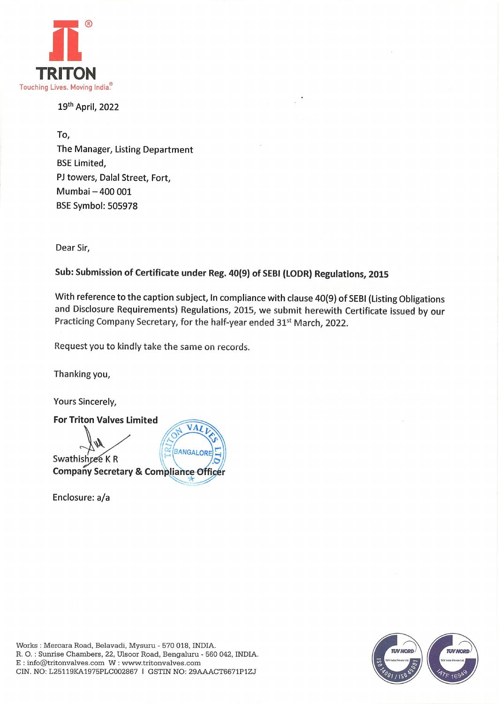

19th April, 2022

To, The Manager, Listing Department BSE Limited, PJ towers, Dalal Street, Fort, Mumbai — 400 001 BSE Symbol: 505978

Dear Sir,

## Sub: Submission of Certificate under Reg. 40(9) of SEBI (LODR) Regulations, 2015

With reference to the caption subject, In compliance with clause 40(9) of SEBI (Listing Obligations and Disclosure Requirements) Regulations, 2015, we submit herewith Certificate issued by our Practicing Company Secretary, for the half-year ended 31<sup>st</sup> March, 2022.

Request you to kindly take the same on records.

Thanking you,

Yours Sincerely,

For Triton Valves Limited VAT AN **BANGALOR** Swathishree KR **Company Secretary & Compliance Officer** 

Enclosure: a/a